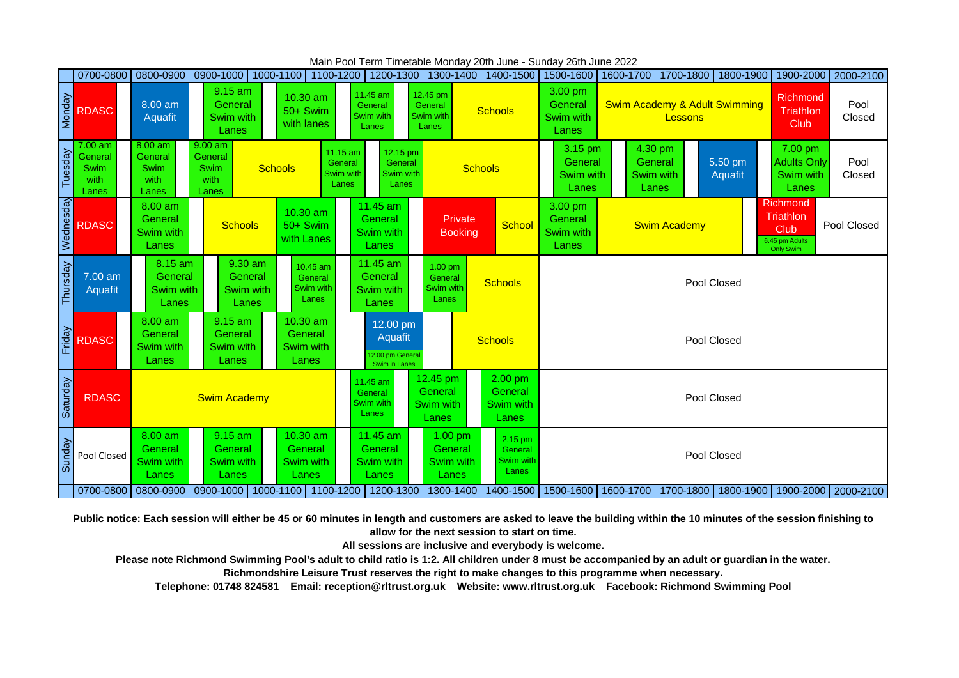|               | 0700-0800                                   |                                                                                                                                            |                                                                                                                     | 0800-0900 0900-1000 1000-1100 1100-1200 1200-1300 1300-1400 |                                                         |                                                  | 1400-1500                                       | 1500-1600                                |                                                     | 1600-1700 1700-1800 1800-1900                                         |                    |                                                                     | 1900-2000   2000-2100 |  |
|---------------|---------------------------------------------|--------------------------------------------------------------------------------------------------------------------------------------------|---------------------------------------------------------------------------------------------------------------------|-------------------------------------------------------------|---------------------------------------------------------|--------------------------------------------------|-------------------------------------------------|------------------------------------------|-----------------------------------------------------|-----------------------------------------------------------------------|--------------------|---------------------------------------------------------------------|-----------------------|--|
| <b>Monday</b> | <b>RDASC</b>                                | $8.00$ am<br><b>Aquafit</b>                                                                                                                | 9.15 am<br>General<br>Swim with<br>Lanes                                                                            | 10.30 am<br>50+ Swim<br>with lanes                          | 11.45 am<br>General<br>Swim with<br>Lanes               | 12.45 pm<br>General<br>Swim with<br>Lanes        | <b>Schools</b>                                  |                                          | <b>Swim Academy &amp; Adult Swimming</b><br>Lessons |                                                                       |                    | <b>Richmond</b><br>Triathlon<br>Club                                | Pool<br>Closed        |  |
| Tuesday       | 7.00 am<br>General<br>Swim<br>with<br>Lanes | $8.00$ am<br>General<br><b>Swim</b><br>with<br>Lanes                                                                                       | $9.00$ am<br>11.15 am<br>General<br>General<br><b>Schools</b><br><b>Swim</b><br>Swim with<br>with<br>Lanes<br>Lanes |                                                             | 12.15 pm<br>General<br>Swim with<br>Lanes               | <b>Schools</b>                                   |                                                 | 3.15 pm<br>General<br>Swim with<br>Lanes | General<br>Swim with<br>Lanes                       | 4.30 pm                                                               | 5.50 pm<br>Aquafit | 7.00 pm<br><b>Adults Only</b><br>Swim with<br>Lanes                 | Pool<br>Closed        |  |
| Wednesday     | <b>RDASC</b>                                | 8.00 am<br>General<br>Swim with<br>Lanes                                                                                                   | <b>Schools</b>                                                                                                      | 10.30 am<br>50+ Swim<br>with Lanes                          | 11.45 am<br><b>General</b><br>Swim with<br>Lanes        | Private<br><b>Booking</b>                        | <b>School</b>                                   | 3.00 pm<br>General<br>Swim with<br>Lanes | <b>Swim Academy</b>                                 |                                                                       |                    | Richmond<br>Triathlon<br>Club<br>6.45 pm Adults<br><b>Only Swim</b> | Pool Closed           |  |
| Thursday      | 7.00 am<br>Aquafit                          | 8.15 am<br>General<br>Swim with<br>Lanes                                                                                                   | 9.30 am<br>General<br>Swim with<br>Lanes                                                                            | 10.45 am<br>General<br>Swim with<br>Lanes                   | 11.45 am<br>General<br>Swim with<br>Lanes               | $1.00$ pm<br>General<br>Swim with<br>Lanes       | <b>Schools</b>                                  |                                          | Pool Closed                                         |                                                                       |                    |                                                                     |                       |  |
| Friday        | <b>RDASC</b>                                | 8.00 am<br>General<br>Swim with<br>Lanes                                                                                                   | 9.15 am<br>General<br>Swim with<br>Lanes                                                                            | 10.30 am<br>General<br>Swim with<br>Lanes                   | 12.00 pm<br>Aquafit<br>12.00 pm Genera<br>Swim in Lanes |                                                  | <b>Schools</b>                                  |                                          | Pool Closed                                         |                                                                       |                    |                                                                     |                       |  |
| Saturday      | <b>RDASC</b>                                |                                                                                                                                            | <b>Swim Academy</b>                                                                                                 |                                                             | 11.45 am<br>General<br>Swim with<br>Lanes               | 12.45 pm<br>General<br><b>Swim with</b><br>Lanes | 2.00 pm<br>General<br><b>Swim with</b><br>Lanes | Pool Closed                              |                                                     |                                                                       |                    |                                                                     |                       |  |
| Sunday        | Pool Closed                                 | 8.00 am<br>10.30 am<br>$9.15$ am<br>General<br>General<br>General<br>Swim with<br><b>Swim with</b><br>Swim with<br>Lanes<br>Lanes<br>Lanes |                                                                                                                     | 11.45 am<br>General<br>Swim with<br>Lanes                   | 1.00 pm<br>General<br>Swim with<br>Lanes                | 2.15 pm<br>General<br><b>Swim with</b><br>Lanes  |                                                 | Pool Closed                              |                                                     |                                                                       |                    |                                                                     |                       |  |
|               |                                             |                                                                                                                                            |                                                                                                                     | 0700-0800 0800-0900 0900-1000 1000-1100 1100-1200 1200-1300 |                                                         | 1300-1400                                        | 1400-1500                                       |                                          |                                                     | 1500-1600   1600-1700   1700-1800   1800-1900   1900-2000   2000-2100 |                    |                                                                     |                       |  |

Main Pool Term Timetable Monday 20th June - Sunday 26th June 2022

**Public notice: Each session will either be 45 or 60 minutes in length and customers are asked to leave the building within the 10 minutes of the session finishing to allow for the next session to start on time.**

**All sessions are inclusive and everybody is welcome.**

**Please note Richmond Swimming Pool's adult to child ratio is 1:2. All children under 8 must be accompanied by an adult or guardian in the water.**

**Richmondshire Leisure Trust reserves the right to make changes to this programme when necessary.**

**Telephone: 01748 824581 Email: reception@rltrust.org.uk Website: www.rltrust.org.uk Facebook: Richmond Swimming Pool**